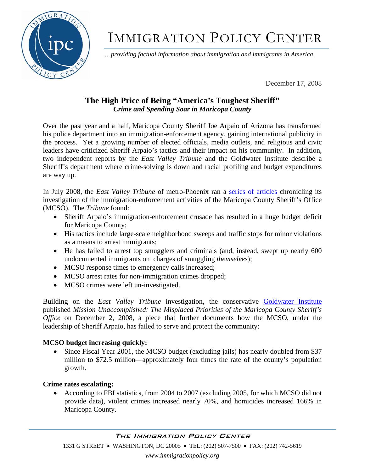

# IMMIGRATION POLICY CENTER

…*providing factual information about immigration and immigrants in America*

December 17, 2008

## **The High Price of Being "America's Toughest Sheriff"**  *Crime and Spending Soar in Maricopa County*

Over the past year and a half, Maricopa County Sheriff Joe Arpaio of Arizona has transformed his police department into an immigration-enforcement agency, gaining international publicity in the process. Yet a growing number of elected officials, media outlets, and religious and civic leaders have criticized Sheriff Arpaio's tactics and their impact on his community. In addition, two independent reports by the *East Valley Tribune* and the Goldwater Institute describe a Sheriff's department where crime-solving is down and racial profiling and budget expenditures are way up.

In July 2008, the *East Valley Tribune* of metro-Phoenix ran a [series of articles](http://www.eastvalleytribune.com/page/reasonable_doubt) chronicling its investigation of the immigration-enforcement activities of the Maricopa County Sheriff's Office (MCSO). The *Tribune* found:

- Sheriff Arpaio's immigration-enforcement crusade has resulted in a huge budget deficit for Maricopa County;
- His tactics include large-scale neighborhood sweeps and traffic stops for minor violations as a means to arrest immigrants;
- He has failed to arrest top smugglers and criminals (and, instead, swept up nearly 600 undocumented immigrants on charges of smuggling *themselves*);
- MCSO response times to emergency calls increased;
- MCSO arrest rates for non-immigration crimes dropped;
- MCSO crimes were left un-investigated.

Building on the *East Valley Tribune* investigation, the conservative [Goldwater Institute](http://www.goldwaterinstitute.org/Common/Img/Mission%20Unaccomplished.pdf) published *Mission Unaccomplished: The Misplaced Priorities of the Maricopa County Sheriff's Office* on December 2, 2008, a piece that further documents how the MCSO, under the leadership of Sheriff Arpaio, has failed to serve and protect the community:

## **MCSO budget increasing quickly:**

• Since Fiscal Year 2001, the MCSO budget (excluding jails) has nearly doubled from \$37 million to \$72.5 million—approximately four times the rate of the county's population growth.

## **Crime rates escalating:**

• According to FBI statistics, from 2004 to 2007 (excluding 2005, for which MCSO did not provide data), violent crimes increased nearly 70%, and homicides increased 166% in Maricopa County.